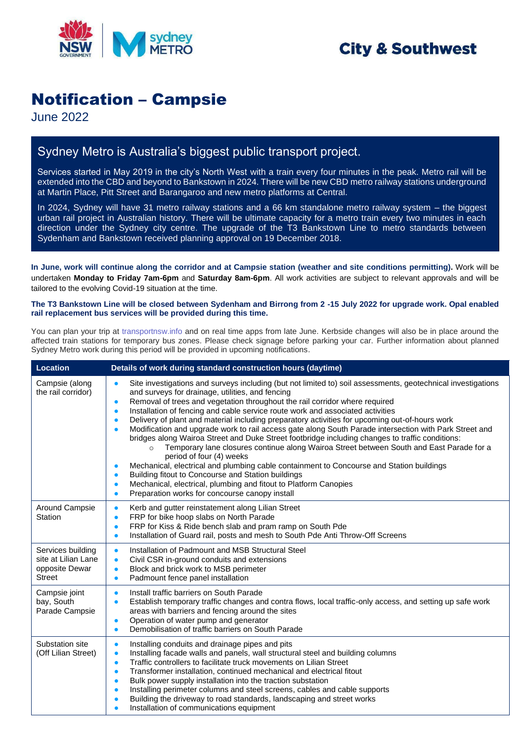

# **City & Southwest**

# Notification – Campsie

June 2022

### Sydney Metro is Australia's biggest public transport project.

Services started in May 2019 in the city's North West with a train every four minutes in the peak. Metro rail will be extended into the CBD and beyond to Bankstown in 2024. There will be new CBD metro railway stations underground at Martin Place, Pitt Street and Barangaroo and new metro platforms at Central.

In 2024, Sydney will have 31 metro railway stations and a 66 km standalone metro railway system – the biggest urban rail project in Australian history. There will be ultimate capacity for a metro train every two minutes in each direction under the Sydney city centre. The upgrade of the T3 Bankstown Line to metro standards between Sydenham and Bankstown received planning approval on 19 December 2018.

**In June, work will continue along the corridor and at Campsie station (weather and site conditions permitting).** Work will be undertaken **Monday to Friday 7am-6pm** and **Saturday 8am-6pm**. All work activities are subject to relevant approvals and will be tailored to the evolving Covid-19 situation at the time.

#### **The T3 Bankstown Line will be closed between Sydenham and Birrong from 2 -15 July 2022 for upgrade work. Opal enabled rail replacement bus services will be provided during this time.**

You can plan your trip at [transportnsw.info](https://transportnsw.info/) and on real time apps from late June. Kerbside changes will also be in place around the affected train stations for temporary bus zones. Please check signage before parking your car. Further information about planned Sydney Metro work during this period will be provided in upcoming notifications.

| <b>Location</b>                                                             | Details of work during standard construction hours (daytime)                                                                                                                                                                                                                                                                                                                                                                                                                                                                                                                                                                                                                                                                                                                                                                                                                                                                                                                                                                                                                                                                                                                     |
|-----------------------------------------------------------------------------|----------------------------------------------------------------------------------------------------------------------------------------------------------------------------------------------------------------------------------------------------------------------------------------------------------------------------------------------------------------------------------------------------------------------------------------------------------------------------------------------------------------------------------------------------------------------------------------------------------------------------------------------------------------------------------------------------------------------------------------------------------------------------------------------------------------------------------------------------------------------------------------------------------------------------------------------------------------------------------------------------------------------------------------------------------------------------------------------------------------------------------------------------------------------------------|
| Campsie (along<br>the rail corridor)                                        | Site investigations and surveys including (but not limited to) soil assessments, geotechnical investigations<br>$\bullet$<br>and surveys for drainage, utilities, and fencing<br>Removal of trees and vegetation throughout the rail corridor where required<br>$\bullet$<br>Installation of fencing and cable service route work and associated activities<br>$\bullet$<br>Delivery of plant and material including preparatory activities for upcoming out-of-hours work<br>$\bullet$<br>Modification and upgrade work to rail access gate along South Parade intersection with Park Street and<br>$\bullet$<br>bridges along Wairoa Street and Duke Street footbridge including changes to traffic conditions:<br>Temporary lane closures continue along Wairoa Street between South and East Parade for a<br>$\circ$<br>period of four (4) weeks<br>Mechanical, electrical and plumbing cable containment to Concourse and Station buildings<br>$\bullet$<br>Building fitout to Concourse and Station buildings<br>$\bullet$<br>Mechanical, electrical, plumbing and fitout to Platform Canopies<br>$\bullet$<br>Preparation works for concourse canopy install<br>$\bullet$ |
| Around Campsie<br>Station                                                   | Kerb and gutter reinstatement along Lilian Street<br>$\bullet$<br>FRP for bike hoop slabs on North Parade<br>$\bullet$<br>FRP for Kiss & Ride bench slab and pram ramp on South Pde<br>$\bullet$<br>Installation of Guard rail, posts and mesh to South Pde Anti Throw-Off Screens<br>$\bullet$                                                                                                                                                                                                                                                                                                                                                                                                                                                                                                                                                                                                                                                                                                                                                                                                                                                                                  |
| Services building<br>site at Lilian Lane<br>opposite Dewar<br><b>Street</b> | Installation of Padmount and MSB Structural Steel<br>$\bullet$<br>Civil CSR in-ground conduits and extensions<br>$\bullet$<br>Block and brick work to MSB perimeter<br>$\bullet$<br>Padmount fence panel installation<br>$\bullet$                                                                                                                                                                                                                                                                                                                                                                                                                                                                                                                                                                                                                                                                                                                                                                                                                                                                                                                                               |
| Campsie joint<br>bay, South<br>Parade Campsie                               | Install traffic barriers on South Parade<br>$\bullet$<br>Establish temporary traffic changes and contra flows, local traffic-only access, and setting up safe work<br>areas with barriers and fencing around the sites<br>Operation of water pump and generator<br>$\bullet$<br>Demobilisation of traffic barriers on South Parade<br>$\bullet$                                                                                                                                                                                                                                                                                                                                                                                                                                                                                                                                                                                                                                                                                                                                                                                                                                  |
| Substation site<br>(Off Lilian Street)                                      | Installing conduits and drainage pipes and pits<br>$\bullet$<br>Installing facade walls and panels, wall structural steel and building columns<br>$\bullet$<br>Traffic controllers to facilitate truck movements on Lilian Street<br>$\bullet$<br>Transformer installation, continued mechanical and electrical fitout<br>$\bullet$<br>Bulk power supply installation into the traction substation<br>$\bullet$<br>Installing perimeter columns and steel screens, cables and cable supports<br>$\bullet$<br>Building the driveway to road standards, landscaping and street works<br>$\bullet$<br>Installation of communications equipment<br>$\bullet$                                                                                                                                                                                                                                                                                                                                                                                                                                                                                                                         |